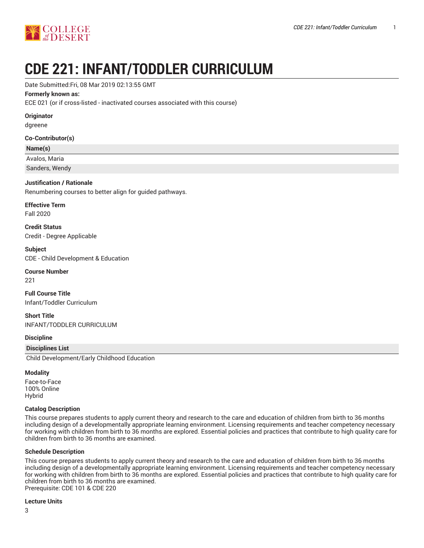

# **CDE 221: INFANT/TODDLER CURRICULUM**

#### Date Submitted:Fri, 08 Mar 2019 02:13:55 GMT

#### **Formerly known as:**

ECE 021 (or if cross-listed - inactivated courses associated with this course)

#### **Originator**

dgreene

#### **Co-Contributor(s)**

#### **Name(s)**

Avalos, Maria

Sanders, Wendy

#### **Justification / Rationale**

Renumbering courses to better align for guided pathways.

# **Effective Term**

Fall 2020

**Credit Status** Credit - Degree Applicable

**Subject** CDE - Child Development & Education

#### **Course Number**

221

**Full Course Title** Infant/Toddler Curriculum

**Short Title** INFANT/TODDLER CURRICULUM

#### **Discipline**

#### **Disciplines List**

Child Development/Early Childhood Education

#### **Modality**

Face-to-Face 100% Online Hybrid

#### **Catalog Description**

This course prepares students to apply current theory and research to the care and education of children from birth to 36 months including design of a developmentally appropriate learning environment. Licensing requirements and teacher competency necessary for working with children from birth to 36 months are explored. Essential policies and practices that contribute to high quality care for children from birth to 36 months are examined.

#### **Schedule Description**

This course prepares students to apply current theory and research to the care and education of children from birth to 36 months including design of a developmentally appropriate learning environment. Licensing requirements and teacher competency necessary for working with children from birth to 36 months are explored. Essential policies and practices that contribute to high quality care for children from birth to 36 months are examined. Prerequisite: CDE 101 & CDE 220

#### **Lecture Units**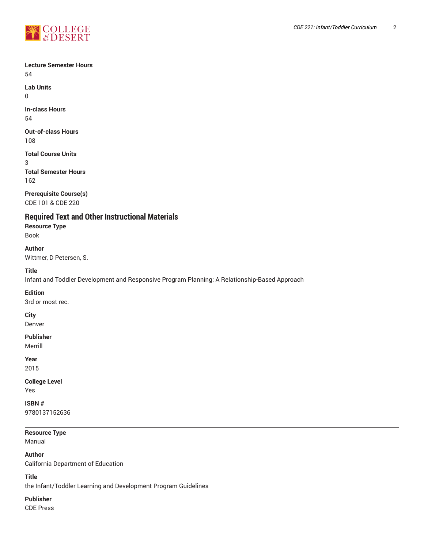

**Lab Units** 0

**In-class Hours** 54

**Out-of-class Hours** 108

**Total Course Units** 3 **Total Semester Hours** 162

**Prerequisite Course(s)** CDE 101 & CDE 220

**Required Text and Other Instructional Materials**

**Resource Type** Book

**Author** Wittmer, D Petersen, S.

**Title**

Infant and Toddler Development and Responsive Program Planning: A Relationship-Based Approach

**Edition**

3rd or most rec.

**City**

Denver

# **Publisher**

Merrill

**Year**

2015

# **College Level**

Yes

**ISBN #** 9780137152636

**Resource Type** Manual

**Author** California Department of Education

**Title**

the Infant/Toddler Learning and Development Program Guidelines

**Publisher**

CDE Press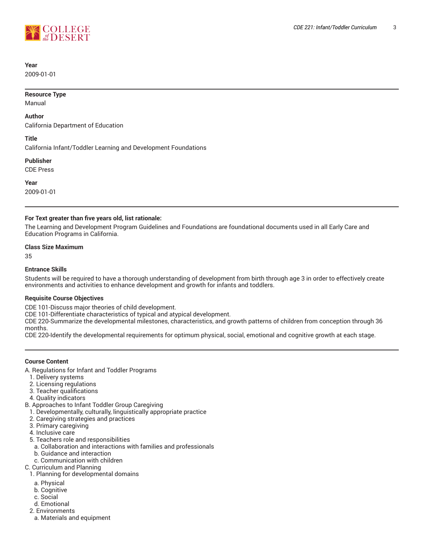

# **Year**

2009-01-01

#### **Resource Type**

Manual

#### **Author**

California Department of Education

#### **Title**

California Infant/Toddler Learning and Development Foundations

**Publisher**

CDE Press

**Year**

2009-01-01

#### **For Text greater than five years old, list rationale:**

The Learning and Development Program Guidelines and Foundations are foundational documents used in all Early Care and Education Programs in California.

#### **Class Size Maximum**

35

#### **Entrance Skills**

Students will be required to have a thorough understanding of development from birth through age 3 in order to effectively create environments and activities to enhance development and growth for infants and toddlers.

# **Requisite Course Objectives**

CDE 101-Discuss major theories of child development.

CDE 101-Differentiate characteristics of typical and atypical development.

CDE 220-Summarize the developmental milestones, characteristics, and growth patterns of children from conception through 36 months.

CDE 220-Identify the developmental requirements for optimum physical, social, emotional and cognitive growth at each stage.

# **Course Content**

A. Regulations for Infant and Toddler Programs

- 1. Delivery systems
- 2. Licensing regulations
- 3. Teacher qualifications
- 4. Quality indicators
- B. Approaches to Infant Toddler Group Caregiving
- 1. Developmentally, culturally, linguistically appropriate practice
- 2. Caregiving strategies and practices
- 3. Primary caregiving
- 4. Inclusive care
- 5. Teachers role and responsibilities
- a. Collaboration and interactions with families and professionals
- b. Guidance and interaction
- c. Communication with children
- C. Curriculum and Planning
- 1. Planning for developmental domains
	- a. Physical
	- b. Cognitive
	- c. Social
- d. Emotional
- 2. Environments
	- a. Materials and equipment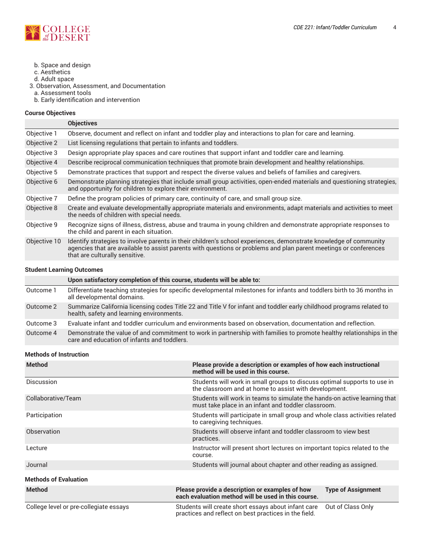

- b. Space and design
- c. Aesthetics
- d. Adult space
- 3. Observation, Assessment, and Documentation
- a. Assessment tools
- b. Early identification and intervention

# **Course Objectives**

|              | <b>Objectives</b>                                                                                                                                                                                                                                                       |
|--------------|-------------------------------------------------------------------------------------------------------------------------------------------------------------------------------------------------------------------------------------------------------------------------|
| Objective 1  | Observe, document and reflect on infant and toddler play and interactions to plan for care and learning.                                                                                                                                                                |
| Objective 2  | List licensing regulations that pertain to infants and toddlers.                                                                                                                                                                                                        |
| Objective 3  | Design appropriate play spaces and care routines that support infant and toddler care and learning.                                                                                                                                                                     |
| Objective 4  | Describe reciprocal communication techniques that promote brain development and healthy relationships.                                                                                                                                                                  |
| Objective 5  | Demonstrate practices that support and respect the diverse values and beliefs of families and caregivers.                                                                                                                                                               |
| Objective 6  | Demonstrate planning strategies that include small group activities, open-ended materials and questioning strategies,<br>and opportunity for children to explore their environment.                                                                                     |
| Objective 7  | Define the program policies of primary care, continuity of care, and small group size.                                                                                                                                                                                  |
| Objective 8  | Create and evaluate developmentally appropriate materials and environments, adapt materials and activities to meet<br>the needs of children with special needs.                                                                                                         |
| Objective 9  | Recognize signs of illness, distress, abuse and trauma in young children and demonstrate appropriate responses to<br>the child and parent in each situation.                                                                                                            |
| Objective 10 | Identify strategies to involve parents in their children's school experiences, demonstrate knowledge of community<br>agencies that are available to assist parents with questions or problems and plan parent meetings or conferences<br>that are culturally sensitive. |

#### **Student Learning Outcomes**

|           | Upon satisfactory completion of this course, students will be able to:                                                                                              |
|-----------|---------------------------------------------------------------------------------------------------------------------------------------------------------------------|
| Outcome 1 | Differentiate teaching strategies for specific developmental milestones for infants and toddlers birth to 36 months in<br>all developmental domains.                |
| Outcome 2 | Summarize California licensing codes Title 22 and Title V for infant and toddler early childhood programs related to<br>health, safety and learning environments.   |
| Outcome 3 | Evaluate infant and toddler curriculum and environments based on observation, documentation and reflection.                                                         |
| Outcome 4 | Demonstrate the value of and commitment to work in partnership with families to promote healthy relationships in the<br>care and education of infants and toddlers. |

# **Methods of Instruction**

| <b>Method</b>                          | Please provide a description or examples of how each instructional<br>method will be used in this course.                           |  |
|----------------------------------------|-------------------------------------------------------------------------------------------------------------------------------------|--|
| <b>Discussion</b>                      | Students will work in small groups to discuss optimal supports to use in<br>the classroom and at home to assist with development.   |  |
| Collaborative/Team                     | Students will work in teams to simulate the hands-on active learning that<br>must take place in an infant and toddler classroom.    |  |
| Participation                          | Students will participate in small group and whole class activities related<br>to caregiving techniques.                            |  |
| Observation                            | Students will observe infant and toddler classroom to view best<br>practices.                                                       |  |
| Lecture                                | Instructor will present short lectures on important topics related to the<br>course.                                                |  |
| Journal                                | Students will journal about chapter and other reading as assigned.                                                                  |  |
| <b>Methods of Evaluation</b>           |                                                                                                                                     |  |
| <b>Method</b>                          | Please provide a description or examples of how<br><b>Type of Assignment</b><br>each evaluation method will be used in this course. |  |
| College level or pre-collegiate essays | Students will create short essays about infant care<br>Out of Class Only<br>practices and reflect on best practices in the field.   |  |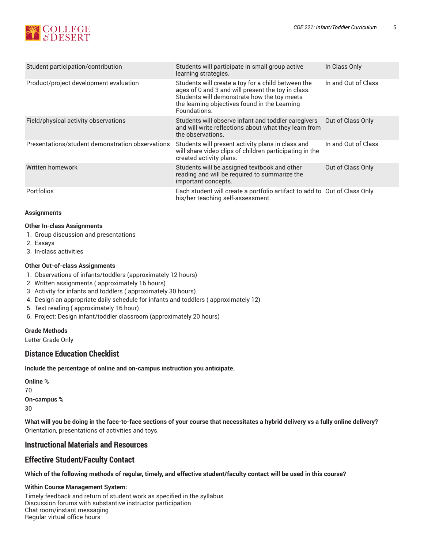

| Student participation/contribution               | Students will participate in small group active<br>learning strategies.                                                                                                                                                  | In Class Only       |
|--------------------------------------------------|--------------------------------------------------------------------------------------------------------------------------------------------------------------------------------------------------------------------------|---------------------|
| Product/project development evaluation           | Students will create a toy for a child between the<br>ages of 0 and 3 and will present the toy in class.<br>Students will demonstrate how the toy meets<br>the learning objectives found in the Learning<br>Foundations. | In and Out of Class |
| Field/physical activity observations             | Students will observe infant and toddler caregivers<br>and will write reflections about what they learn from<br>the observations.                                                                                        | Out of Class Only   |
| Presentations/student demonstration observations | Students will present activity plans in class and<br>will share video clips of children participating in the<br>created activity plans.                                                                                  | In and Out of Class |
| Written homework                                 | Students will be assigned textbook and other<br>reading and will be required to summarize the<br>important concepts.                                                                                                     | Out of Class Only   |
| Portfolios                                       | Each student will create a portfolio artifact to add to Out of Class Only<br>his/her teaching self-assessment.                                                                                                           |                     |

# **Assignments**

# **Other In-class Assignments**

- 1. Group discussion and presentations
- 2. Essays
- 3. In-class activities

# **Other Out-of-class Assignments**

- 1. Observations of infants/toddlers (approximately 12 hours)
- 2. Written assignments ( approximately 16 hours)
- 3. Activity for infants and toddlers ( approximately 30 hours)
- 4. Design an appropriate daily schedule for infants and toddlers ( approximately 12)
- 5. Text reading ( approximately 16 hour)
- 6. Project: Design infant/toddler classroom (approximately 20 hours)

# **Grade Methods**

Letter Grade Only

# **Distance Education Checklist**

**Include the percentage of online and on-campus instruction you anticipate.**

**Online %** 70 **On-campus %** 30

What will you be doing in the face-to-face sections of your course that necessitates a hybrid delivery vs a fully online delivery? Orientation, presentations of activities and toys.

# **Instructional Materials and Resources**

# **Effective Student/Faculty Contact**

Which of the following methods of regular, timely, and effective student/faculty contact will be used in this course?

# **Within Course Management System:**

Timely feedback and return of student work as specified in the syllabus Discussion forums with substantive instructor participation Chat room/instant messaging Regular virtual office hours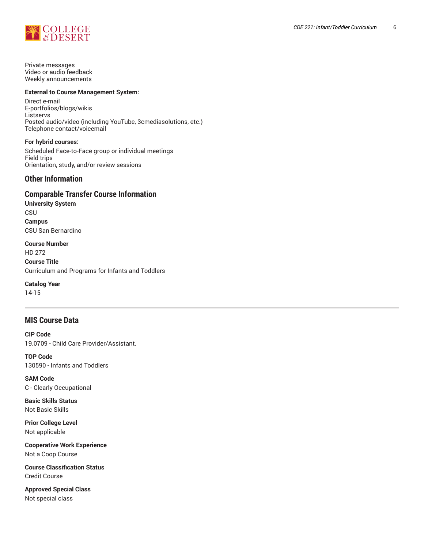

Private messages Video or audio feedback Weekly announcements

#### **External to Course Management System:**

Direct e-mail E-portfolios/blogs/wikis Listservs Posted audio/video (including YouTube, 3cmediasolutions, etc.) Telephone contact/voicemail

#### **For hybrid courses:**

Scheduled Face-to-Face group or individual meetings Field trips Orientation, study, and/or review sessions

# **Other Information**

# **Comparable Transfer Course Information**

**University System** CSU **Campus** CSU San Bernardino

**Course Number** HD 272 **Course Title** Curriculum and Programs for Infants and Toddlers

**Catalog Year** 14-15

# **MIS Course Data**

**CIP Code** 19.0709 - Child Care Provider/Assistant.

**TOP Code** 130590 - Infants and Toddlers

**SAM Code** C - Clearly Occupational

**Basic Skills Status** Not Basic Skills

**Prior College Level** Not applicable

**Cooperative Work Experience** Not a Coop Course

**Course Classification Status** Credit Course

**Approved Special Class** Not special class